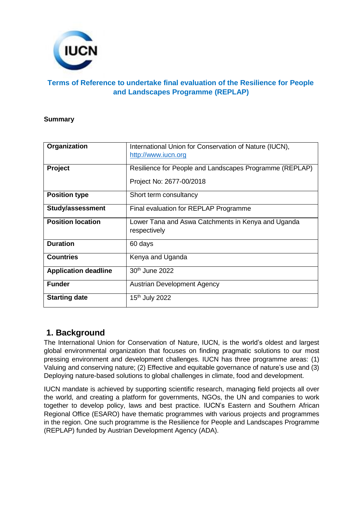

### **Terms of Reference to undertake final evaluation of the Resilience for People and Landscapes Programme (REPLAP)**

#### **Summary**

| Organization                | International Union for Conservation of Nature (IUCN),<br>http://www.iucn.org       |
|-----------------------------|-------------------------------------------------------------------------------------|
| Project                     | Resilience for People and Landscapes Programme (REPLAP)<br>Project No: 2677-00/2018 |
| <b>Position type</b>        | Short term consultancy                                                              |
| <b>Study/assessment</b>     | Final evaluation for REPLAP Programme                                               |
| <b>Position location</b>    | Lower Tana and Aswa Catchments in Kenya and Uganda<br>respectively                  |
| <b>Duration</b>             | 60 days                                                                             |
| <b>Countries</b>            | Kenya and Uganda                                                                    |
| <b>Application deadline</b> | 30 <sup>th</sup> June 2022                                                          |
| <b>Funder</b>               | <b>Austrian Development Agency</b>                                                  |
| <b>Starting date</b>        | 15 <sup>th</sup> July 2022                                                          |

## **1. Background**

The International Union for Conservation of Nature, IUCN, is the world's oldest and largest global environmental organization that focuses on finding pragmatic solutions to our most pressing environment and development challenges. IUCN has three programme areas: (1) Valuing and conserving nature; (2) Effective and equitable governance of nature's use and (3) Deploying nature-based solutions to global challenges in climate, food and development.

IUCN mandate is achieved by supporting scientific research, managing field projects all over the world, and creating a platform for governments, NGOs, the UN and companies to work together to develop policy, laws and best practice. IUCN's Eastern and Southern African Regional Office (ESARO) have thematic programmes with various projects and programmes in the region. One such programme is the Resilience for People and Landscapes Programme (REPLAP) funded by Austrian Development Agency (ADA).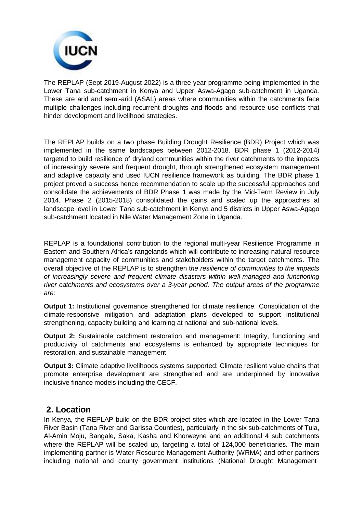

The REPLAP (Sept 2019-August 2022) is a three year programme being implemented in the Lower Tana sub-catchment in Kenya and Upper Aswa-Agago sub-catchment in Uganda*.* These are arid and semi-arid (ASAL) areas where communities within the catchments face multiple challenges including recurrent droughts and floods and resource use conflicts that hinder development and livelihood strategies.

The REPLAP builds on a two phase Building Drought Resilience (BDR) Project which was implemented in the same landscapes between 2012-2018. BDR phase 1 (2012-2014) targeted to build resilience of dryland communities within the river catchments to the impacts of increasingly severe and frequent drought, through strengthened ecosystem management and adaptive capacity and used IUCN resilience framework as building*.* The BDR phase 1 project proved a success hence recommendation to scale up the successful approaches and consolidate the achievements of BDR Phase 1 was made by the Mid-Term Review in July 2014. Phase 2 (2015-2018) consolidated the gains and scaled up the approaches at landscape level in Lower Tana sub-catchment in Kenya and 5 districts in Upper Aswa-Agago sub-catchment located in Nile Water Management Zone in Uganda.

REPLAP is a foundational contribution to the regional multi-year Resilience Programme in Eastern and Southern Africa's rangelands which will contribute to increasing natural resource management capacity of communities and stakeholders within the target catchments. The overall objective of the REPLAP is to strengthen t*he resilience of communities to the impacts of increasingly severe and frequent climate disasters within well-managed and functioning river catchments and ecosystems over a 3-year period. The output areas of the programme are:*

**Output 1:** Institutional governance strengthened for climate resilience. Consolidation of the climate-responsive mitigation and adaptation plans developed to support institutional strengthening, capacity building and learning at national and sub-national levels.

**Output 2:** Sustainable catchment restoration and management: Integrity, functioning and productivity of catchments and ecosystems is enhanced by appropriate techniques for restoration, and sustainable management

**Output 3:** Climate adaptive livelihoods systems supported: Climate resilient value chains that promote enterprise development are strengthened and are underpinned by innovative inclusive finance models including the CECF.

## **2. Location**

In Kenya, the REPLAP build on the BDR project sites which are located in the Lower Tana River Basin (Tana River and Garissa Counties), particularly in the six sub-catchments of Tula, Al-Amin Moju, Bangale, Saka, Kasha and Khorweyne and an additional 4 sub catchments where the REPLAP will be scaled up, targeting a total of 124,000 beneficiaries. The main implementing partner is Water Resource Management Authority (WRMA) and other partners including national and county government institutions (National Drought Management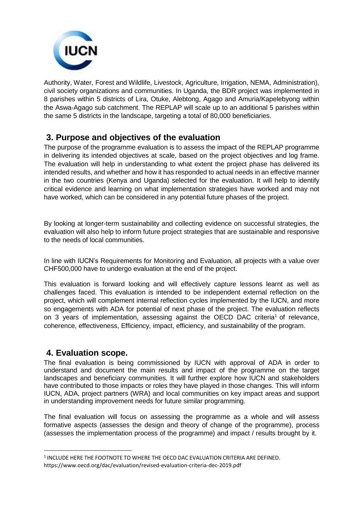

Authority, Water, Forest and Wildlife, Livestock, Agriculture, Irrigation, NEMA, Administration), civil society organizations and communities. In Uganda, the BDR project was implemented in 8 parishes within 5 districts of Lira, Otuke, Alebtong, Agago and Amuria/Kapelebyong within the Aswa-Agago sub catchment. The REPLAP will scale up to an additional 5 parishes within the same 5 districts in the landscape, targeting a total of 80,000 beneficiaries.

# **3. Purpose and objectives of the evaluation**

The purpose of the programme evaluation is to assess the impact of the REPLAP programme in delivering its intended objectives at scale, based on the project objectives and log frame. The evaluation will help in understanding to what extent the project phase has delivered its intended results, and whether and how it has responded to actual needs in an effective manner in the two countries (Kenya and Uganda) selected for the evaluation. It will help to identify critical evidence and learning on what implementation strategies have worked and may not have worked, which can be considered in any potential future phases of the project.

By looking at longer-term sustainability and collecting evidence on successful strategies, the evaluation will also help to inform future project strategies that are sustainable and responsive to the needs of local communities.

In line with IUCN's Requirements for Monitoring and Evaluation, all projects with a value over CHF500,000 have to undergo evaluation at the end of the project.

This evaluation is forward looking and will effectively capture lessons learnt as well as challenges faced. This evaluation is intended to be independent external reflection on the project, which will complement internal reflection cycles implemented by the IUCN, and more so engagements with ADA for potential of next phase of the project. The evaluation reflects on 3 years of implementation, assessing against the OECD DAC criteria<sup>1</sup> of relevance, coherence, effectiveness, Efficiency, impact, efficiency, and sustainability of the program.

## **4. Evaluation scope.**

The final evaluation is being commissioned by IUCN with approval of ADA in order to understand and document the main results and impact of the programme on the target landscapes and beneficiary communities. It will further explore how IUCN and stakeholders have contributed to those impacts or roles they have played in those changes. This will inform IUCN, ADA, project partners (WRA) and local communities on key impact areas and support in understanding improvement needs for future similar programming.

The final evaluation will focus on assessing the programme as a whole and will assess formative aspects (assesses the design and theory of change of the programme), process (assesses the implementation process of the programme) and impact / results brought by it.

 $^{\rm 1}$  INCLUDE HERE THE FOOTNOTE TO WHERE THE OECD DAC EVALUATION CRITERIA ARE DEFINED. https[://www.oecd.org/dac/evaluation/revised-evaluation-criteria-dec-2019.pdf](http://www.oecd.org/dac/evaluation/revised-evaluation-criteria-dec-2019.pdf)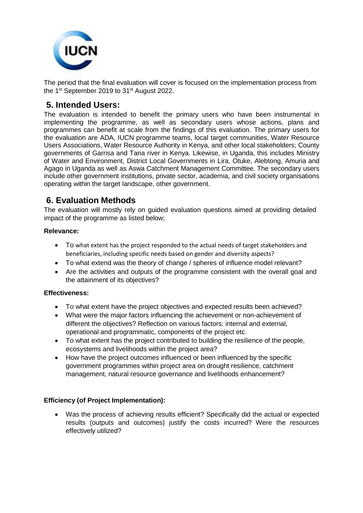

The period that the final evaluation will cover is focused on the implementation process from the 1<sup>st</sup> September 2019 to 31<sup>st</sup> August 2022.

## **5. Intended Users:**

The evaluation is intended to benefit the primary users who have been instrumental in implementing the programme, as well as secondary users whose actions, plans and programmes can benefit at scale from the findings of this evaluation. The primary users for the evaluation are ADA, IUCN programme teams, local target communities, Water Resource Users Associations, Water Resource Authority in Kenya, and other local stakeholders; County governments of Garrisa and Tana river in Kenya. Likewise, in Uganda, this includes Ministry of Water and Environment, District Local Governments in Lira, Otuke, Alebtong, Amuria and Agago in Uganda as well as Aswa Catchment Management Committee. The secondary users include other government institutions, private sector, academia, and civil society organisations operating within the target landscape, other government.

# **6. Evaluation Methods**

The evaluation will mostly rely on guided evaluation questions aimed at providing detailed impact of the programme as listed below;

### **Relevance:**

- To what extent has the project responded to the actual needs of target stakeholders and beneficiaries, including specific needs based on gender and diversity aspects?
- To what extend was the theory of change / spheres of influence model relevant?
- Are the activities and outputs of the programme consistent with the overall goal and the attainment of its objectives?

### **Effectiveness:**

- To what extent have the project objectives and expected results been achieved?
- What were the major factors influencing the achievement or non-achievement of different the objectives? Reflection on various factors: internal and external, operational and programmatic, components of the project etc.
- To what extent has the project contributed to building the resilience of the people, ecosystems and livelihoods within the project area?
- How have the project outcomes influenced or been influenced by the specific government programmes within project area on drought resilience, catchment management, natural resource governance and livelihoods enhancement?

### **Efficiency (of Project Implementation):**

 Was the process of achieving results efficient? Specifically did the actual or expected results (outputs and outcomes) justify the costs incurred? Were the resources effectively utilized?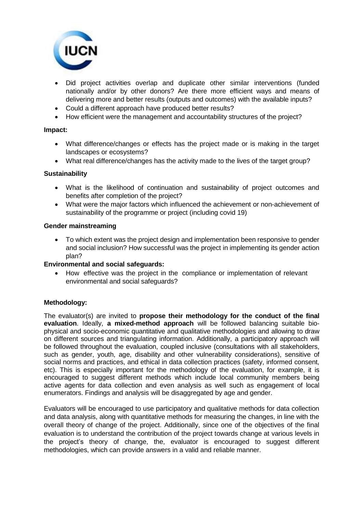

- Did project activities overlap and duplicate other similar interventions (funded nationally and/or by other donors? Are there more efficient ways and means of delivering more and better results (outputs and outcomes) with the available inputs?
- Could a different approach have produced better results?
- How efficient were the management and accountability structures of the project?

#### **Impact:**

- What difference/changes or effects has the project made or is making in the target landscapes or ecosystems?
- What real difference/changes has the activity made to the lives of the target group?

#### **Sustainability**

- What is the likelihood of continuation and sustainability of project outcomes and benefits after completion of the project?
- What were the major factors which influenced the achievement or non-achievement of sustainability of the programme or project (including covid 19)

#### **Gender mainstreaming**

 To which extent was the project design and implementation been responsive to gender and social inclusion? How successful was the project in implementing its gender action plan?

#### **Environmental and social safeguards:**

 How effective was the project in the compliance or implementation of relevant environmental and social safeguards?

### **Methodology:**

The evaluator(s) are invited to **propose their methodology for the conduct of the final evaluation**. Ideally, **a mixed-method approach** will be followed balancing suitable biophysical and socio-economic quantitative and qualitative methodologies and allowing to draw on different sources and triangulating information. Additionally, a participatory approach will be followed throughout the evaluation, coupled inclusive (consultations with all stakeholders, such as gender, youth, age, disability and other vulnerability considerations), sensitive of social norms and practices, and ethical in data collection practices (safety, informed consent, etc). This is especially important for the methodology of the evaluation, for example, it is encouraged to suggest different methods which include local community members being active agents for data collection and even analysis as well such as engagement of local enumerators. Findings and analysis will be disaggregated by age and gender.

Evaluators will be encouraged to use participatory and qualitative methods for data collection and data analysis, along with quantitative methods for measuring the changes, in line with the overall theory of change of the project. Additionally, since one of the objectives of the final evaluation is to understand the contribution of the project towards change at various levels in the project's theory of change, the, evaluator is encouraged to suggest different methodologies, which can provide answers in a valid and reliable manner.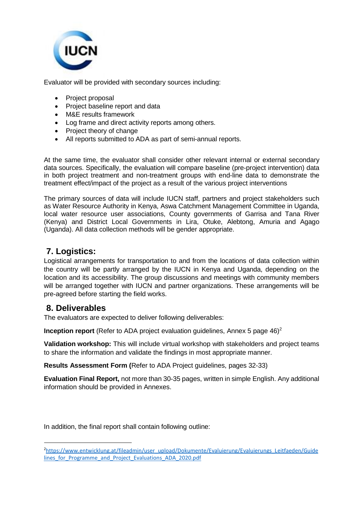

Evaluator will be provided with secondary sources including:

- Project proposal
- Project baseline report and data
- M&E results framework
- Log frame and direct activity reports among others.
- Project theory of change
- All reports submitted to ADA as part of semi-annual reports.

At the same time, the evaluator shall consider other relevant internal or external secondary data sources. Specifically, the evaluation will compare baseline (pre-project intervention) data in both project treatment and non-treatment groups with end-line data to demonstrate the treatment effect/impact of the project as a result of the various project interventions

The primary sources of data will include IUCN staff, partners and project stakeholders such as Water Resource Authority in Kenya, Aswa Catchment Management Committee in Uganda, local water resource user associations, County governments of Garrisa and Tana River (Kenya) and District Local Governments in Lira, Otuke, Alebtong, Amuria and Agago (Uganda). All data collection methods will be gender appropriate.

# **7. Logistics:**

Logistical arrangements for transportation to and from the locations of data collection within the country will be partly arranged by the IUCN in Kenya and Uganda, depending on the location and its accessibility. The group discussions and meetings with community members will be arranged together with IUCN and partner organizations. These arrangements will be pre-agreed before starting the field works.

### **8. Deliverables**

The evaluators are expected to deliver following deliverables:

**Inception report** (Refer to ADA project evaluation guidelines, Annex 5 page 46)<sup>2</sup>

**Validation workshop:** This will include virtual workshop with stakeholders and project teams to share the information and validate the findings in most appropriate manner.

**Results Assessment Form (**Refer to ADA Project guidelines, pages 32-33)

**Evaluation Final Report,** not more than 30-35 pages, written in simple English. Any additional information should be provided in Annexes.

In addition, the final report shall contain following outline:

<sup>&</sup>lt;sup>2</sup>[https://www.entwicklung.at/fileadmin/user\\_upload/Dokumente/Evaluierung/Evaluierungs\\_Leitfaeden/Guide](https://www.entwicklung.at/fileadmin/user_upload/Dokumente/Evaluierung/Evaluierungs_Leitfaeden/Guidelines_for_Programme_and_Project_Evaluations_ADA_2020.pdf) lines for Programme and Project Evaluations ADA 2020.pdf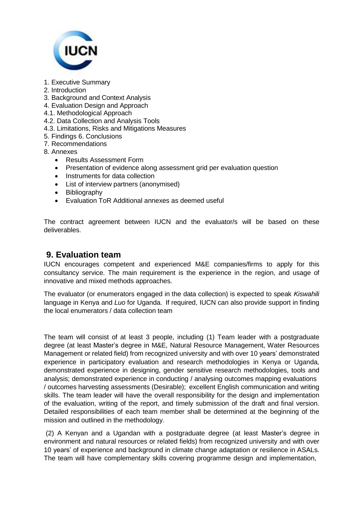

- 1. Executive Summary
- 2. Introduction
- 3. Background and Context Analysis
- 4. Evaluation Design and Approach
- 4.1. Methodological Approach
- 4.2. Data Collection and Analysis Tools
- 4.3. Limitations, Risks and Mitigations Measures
- 5. Findings 6. Conclusions
- 7. Recommendations
- 8. Annexes
	- Results Assessment Form
	- Presentation of evidence along assessment grid per evaluation question
	- Instruments for data collection
	- List of interview partners (anonymised)
	- Bibliography
	- Evaluation ToR Additional annexes as deemed useful

The contract agreement between IUCN and the evaluator/s will be based on these deliverables.

### **9. Evaluation team**

IUCN encourages competent and experienced M&E companies/firms to apply for this consultancy service. The main requirement is the experience in the region, and usage of innovative and mixed methods approaches.

The evaluator (or enumerators engaged in the data collection) is expected to speak *Kiswahili* language in Kenya and *Luo* for Uganda. If required, IUCN can also provide support in finding the local enumerators / data collection team

The team will consist of at least 3 people, including (1) Team leader with a postgraduate degree (at least Master's degree in M&E, Natural Resource Management, Water Resources Management or related field) from recognized university and with over 10 years' demonstrated experience in participatory evaluation and research methodologies in Kenya or Uganda, demonstrated experience in designing, gender sensitive research methodologies, tools and analysis; demonstrated experience in conducting / analysing outcomes mapping evaluations / outcomes harvesting assessments (Desirable); excellent English communication and writing skills. The team leader will have the overall responsibility for the design and implementation of the evaluation, writing of the report, and timely submission of the draft and final version. Detailed responsibilities of each team member shall be determined at the beginning of the mission and outlined in the methodology.

(2) A Kenyan and a Ugandan with a postgraduate degree (at least Master's degree in environment and natural resources or related fields) from recognized university and with over 10 years' of experience and background in climate change adaptation or resilience in ASALs. The team will have complementary skills covering programme design and implementation,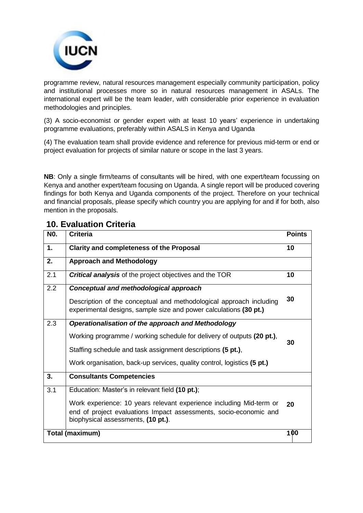

programme review, natural resources management especially community participation, policy and institutional processes more so in natural resources management in ASALs. The international expert will be the team leader, with considerable prior experience in evaluation methodologies and principles.

(3) A socio-economist or gender expert with at least 10 years' experience in undertaking programme evaluations, preferably within ASALS in Kenya and Uganda

(4) The evaluation team shall provide evidence and reference for previous mid-term or end or project evaluation for projects of similar nature or scope in the last 3 years.

**NB:** Only a single firm/teams of consultants will be hired, with one expert/team focussing on Kenya and another expert/team focusing on Uganda. A single report will be produced covering findings for both Kenya and Uganda components of the project. Therefore on your technical and financial proposals, please specify which country you are applying for and if for both, also mention in the proposals.

| N <sub>0</sub> . | <b>Criteria</b>                                                                                                                                                                | <b>Points</b> |
|------------------|--------------------------------------------------------------------------------------------------------------------------------------------------------------------------------|---------------|
| 1.               | <b>Clarity and completeness of the Proposal</b>                                                                                                                                | 10            |
| 2.               | <b>Approach and Methodology</b>                                                                                                                                                |               |
| 2.1              | <b>Critical analysis</b> of the project objectives and the TOR                                                                                                                 | 10            |
| 2.2              | Conceptual and methodological approach                                                                                                                                         |               |
|                  | Description of the conceptual and methodological approach including<br>experimental designs, sample size and power calculations (30 pt.)                                       | 30            |
| 2.3              | Operationalisation of the approach and Methodology                                                                                                                             |               |
|                  | Working programme / working schedule for delivery of outputs (20 pt.),                                                                                                         | 30            |
|                  | Staffing schedule and task assignment descriptions (5 pt.),                                                                                                                    |               |
|                  | Work organisation, back-up services, quality control, logistics (5 pt.)                                                                                                        |               |
| 3.               | <b>Consultants Competencies</b>                                                                                                                                                |               |
| 3.1              | Education: Master's in relevant field (10 pt.);                                                                                                                                |               |
|                  | Work experience: 10 years relevant experience including Mid-term or<br>end of project evaluations Impact assessments, socio-economic and<br>biophysical assessments, (10 pt.). | 20            |
| Total (maximum)  |                                                                                                                                                                                | 100           |

# **10. Evaluation Criteria**